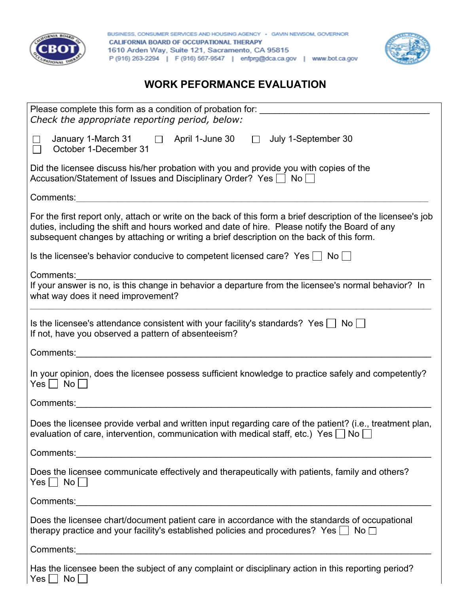

BUSINESS, CONSUMER SERVICES AND HOUSING AGENCY · GAVIN NEWSOM, GOVERNOR **CALIFORNIA BOARD OF OCCUPATIONAL THERAPY** 1610 Arden Way, Suite 121, Sacramento, CA 95815 P (916) 263-2294 | F (916) 567-9547 | enfprg@dca.ca.gov | www.bot.ca.gov



## **WORK PEFORMANCE EVALUATION**

| Please complete this form as a condition of probation for: ______________________<br>Check the appropriate reporting period, below:                                                                                                                                                                        |  |  |  |
|------------------------------------------------------------------------------------------------------------------------------------------------------------------------------------------------------------------------------------------------------------------------------------------------------------|--|--|--|
| April 1-June 30<br>January 1-March 31<br>$\Box$ July 1-September 30<br>$\Box$<br>$\Box$<br>October 1-December 31<br>$\Box$                                                                                                                                                                                 |  |  |  |
| Did the licensee discuss his/her probation with you and provide you with copies of the<br>Accusation/Statement of Issues and Disciplinary Order? Yes $\Box$ No $\Box$                                                                                                                                      |  |  |  |
| Comments:<br><u> 1980 - John Stein, Amerikaansk politiker (</u>                                                                                                                                                                                                                                            |  |  |  |
| For the first report only, attach or write on the back of this form a brief description of the licensee's job<br>duties, including the shift and hours worked and date of hire. Please notify the Board of any<br>subsequent changes by attaching or writing a brief description on the back of this form. |  |  |  |
| Is the licensee's behavior conducive to competent licensed care? Yes $\Box$ No $\Box$                                                                                                                                                                                                                      |  |  |  |
| Comments:                                                                                                                                                                                                                                                                                                  |  |  |  |
| If your answer is no, is this change in behavior a departure from the licensee's normal behavior? In<br>what way does it need improvement?                                                                                                                                                                 |  |  |  |
| Is the licensee's attendance consistent with your facility's standards? Yes $\Box$ No $\Box$<br>If not, have you observed a pattern of absenteeism?                                                                                                                                                        |  |  |  |
| Comments:<br><u> 1989 - Johann John Stone, mars eta bainar eta baina eta baina eta baina eta baina eta baina eta baina eta ba</u>                                                                                                                                                                          |  |  |  |
| In your opinion, does the licensee possess sufficient knowledge to practice safely and competently?<br>$Yes \Box No \Box$                                                                                                                                                                                  |  |  |  |
| Comments:                                                                                                                                                                                                                                                                                                  |  |  |  |
| Does the licensee provide verbal and written input regarding care of the patient? (i.e., treatment plan,<br>evaluation of care, intervention, communication with medical staff, etc.) Yes $\Box$<br>No l                                                                                                   |  |  |  |
|                                                                                                                                                                                                                                                                                                            |  |  |  |
| Does the licensee communicate effectively and therapeutically with patients, family and others?<br>$Yes \Box No \Box$                                                                                                                                                                                      |  |  |  |
|                                                                                                                                                                                                                                                                                                            |  |  |  |
| Does the licensee chart/document patient care in accordance with the standards of occupational<br>therapy practice and your facility's established policies and procedures? Yes $\Box$ No $\Box$                                                                                                           |  |  |  |
|                                                                                                                                                                                                                                                                                                            |  |  |  |
| Has the licensee been the subject of any complaint or disciplinary action in this reporting period?<br>Yes     No                                                                                                                                                                                          |  |  |  |